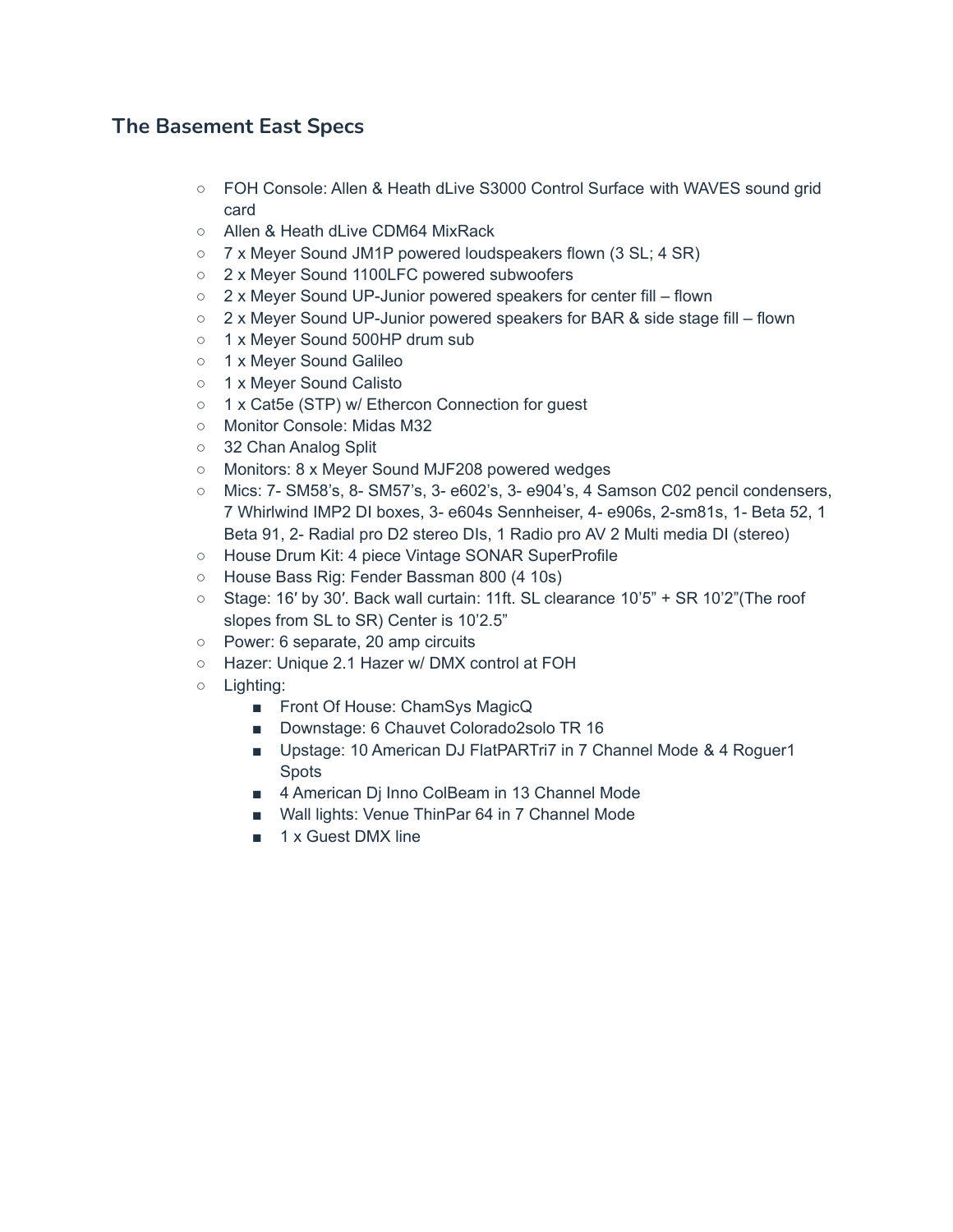## **The Basement East Specs**

- FOH Console: Allen & Heath dLive S3000 Control Surface with WAVES sound grid card
- Allen & Heath dLive CDM64 MixRack
- 7 x Meyer Sound JM1P powered loudspeakers flown (3 SL; 4 SR)
- 2 x Meyer Sound 1100LFC powered subwoofers
- 2 x Meyer Sound UP-Junior powered speakers for center fill flown
- 2 x Meyer Sound UP-Junior powered speakers for BAR & side stage fill flown
- 1 x Meyer Sound 500HP drum sub
- o 1 x Meyer Sound Galileo
- 1 x Meyer Sound Calisto
- 1 x Cat5e (STP) w/ Ethercon Connection for guest
- Monitor Console: Midas M32
- 32 Chan Analog Split
- Monitors: 8 x Meyer Sound MJF208 powered wedges
- Mics: 7- SM58's, 8- SM57's, 3- e602's, 3- e904's, 4 Samson C02 pencil condensers, 7 Whirlwind IMP2 DI boxes, 3- e604s Sennheiser, 4- e906s, 2-sm81s, 1- Beta 52, 1 Beta 91, 2- Radial pro D2 stereo DIs, 1 Radio pro AV 2 Multi media DI (stereo)
- House Drum Kit: 4 piece Vintage SONAR SuperProfile
- House Bass Rig: Fender Bassman 800 (4 10s)
- Stage: 16′ by 30′. Back wall curtain: 11ft. SL clearance 10'5" + SR 10'2"(The roof slopes from SL to SR) Center is 10'2.5"
- Power: 6 separate, 20 amp circuits
- Hazer: Unique 2.1 Hazer w/ DMX control at FOH
- Lighting:
	- Front Of House: ChamSys MagicQ
	- Downstage: 6 Chauvet Colorado2solo TR 16
	- Upstage: 10 American DJ FlatPARTri7 in 7 Channel Mode & 4 Roguer1 Spots
	- 4 American Dj Inno ColBeam in 13 Channel Mode
	- Wall lights: Venue ThinPar 64 in 7 Channel Mode
	- 1 x Guest DMX line